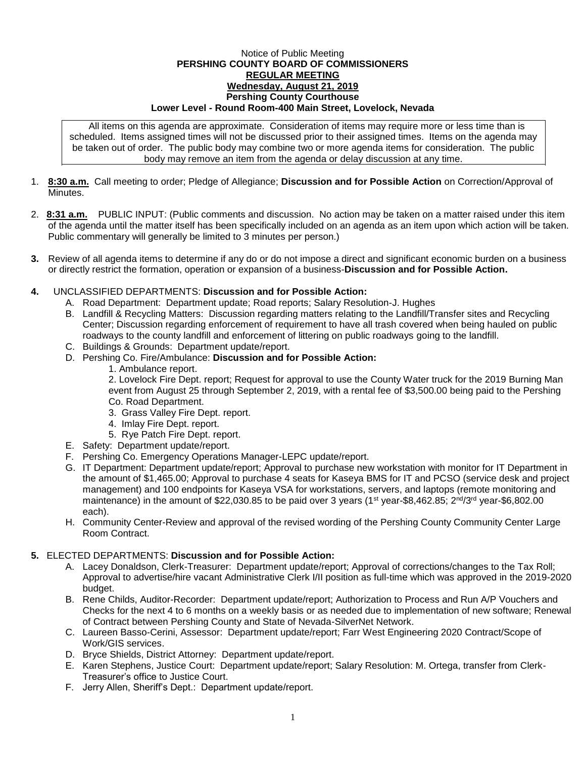## Notice of Public Meeting **PERSHING COUNTY BOARD OF COMMISSIONERS REGULAR MEETING Wednesday, August 21, 2019 Pershing County Courthouse Lower Level - Round Room-400 Main Street, Lovelock, Nevada**

All items on this agenda are approximate. Consideration of items may require more or less time than is scheduled. Items assigned times will not be discussed prior to their assigned times. Items on the agenda may be taken out of order. The public body may combine two or more agenda items for consideration. The public body may remove an item from the agenda or delay discussion at any time.

- 1. **8:30 a.m.** Call meeting to order; Pledge of Allegiance; **Discussion and for Possible Action** on Correction/Approval of **Minutes**
- 2. **8:31 a.m.** PUBLIC INPUT: (Public comments and discussion. No action may be taken on a matter raised under this item of the agenda until the matter itself has been specifically included on an agenda as an item upon which action will be taken. Public commentary will generally be limited to 3 minutes per person.)
- **3.** Review of all agenda items to determine if any do or do not impose a direct and significant economic burden on a business or directly restrict the formation, operation or expansion of a business-**Discussion and for Possible Action.**
- **4.** UNCLASSIFIED DEPARTMENTS: **Discussion and for Possible Action:**
	- A. Road Department: Department update; Road reports; Salary Resolution-J. Hughes
	- B. Landfill & Recycling Matters: Discussion regarding matters relating to the Landfill/Transfer sites and Recycling Center; Discussion regarding enforcement of requirement to have all trash covered when being hauled on public roadways to the county landfill and enforcement of littering on public roadways going to the landfill.
	- C. Buildings & Grounds: Department update/report.
	- D. Pershing Co. Fire/Ambulance: **Discussion and for Possible Action:**
		- 1. Ambulance report.

2. Lovelock Fire Dept. report; Request for approval to use the County Water truck for the 2019 Burning Man event from August 25 through September 2, 2019, with a rental fee of \$3,500.00 being paid to the Pershing Co. Road Department.

- 3. Grass Valley Fire Dept. report.
- 4. Imlay Fire Dept. report.
- 5. Rye Patch Fire Dept. report.
- E. Safety: Department update/report.
- F. Pershing Co. Emergency Operations Manager-LEPC update/report.
- G. IT Department: Department update/report; Approval to purchase new workstation with monitor for IT Department in the amount of \$1,465.00; Approval to purchase 4 seats for Kaseya BMS for IT and PCSO (service desk and project management) and 100 endpoints for Kaseya VSA for workstations, servers, and laptops (remote monitoring and maintenance) in the amount of \$22,030.85 to be paid over 3 years (1<sup>st</sup> year-\$8,462.85; 2<sup>nd</sup>/3<sup>rd</sup> year-\$6,802.00 each).
- H. Community Center-Review and approval of the revised wording of the Pershing County Community Center Large Room Contract.

## **5.** ELECTED DEPARTMENTS: **Discussion and for Possible Action:**

- A. Lacey Donaldson, Clerk-Treasurer: Department update/report; Approval of corrections/changes to the Tax Roll; Approval to advertise/hire vacant Administrative Clerk I/II position as full-time which was approved in the 2019-2020 budget.
- B. Rene Childs, Auditor-Recorder: Department update/report; Authorization to Process and Run A/P Vouchers and Checks for the next 4 to 6 months on a weekly basis or as needed due to implementation of new software; Renewal of Contract between Pershing County and State of Nevada-SilverNet Network.
- C. Laureen Basso-Cerini, Assessor: Department update/report; Farr West Engineering 2020 Contract/Scope of Work/GIS services.
- D. Bryce Shields, District Attorney: Department update/report.
- E. Karen Stephens, Justice Court: Department update/report; Salary Resolution: M. Ortega, transfer from Clerk-Treasurer's office to Justice Court.
- F. Jerry Allen, Sheriff's Dept.: Department update/report.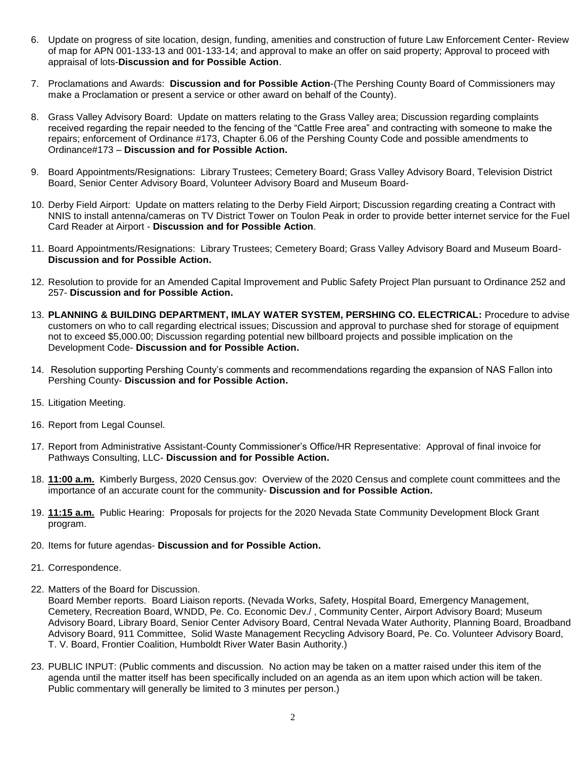- 6. Update on progress of site location, design, funding, amenities and construction of future Law Enforcement Center- Review of map for APN 001-133-13 and 001-133-14; and approval to make an offer on said property; Approval to proceed with appraisal of lots-**Discussion and for Possible Action**.
- 7. Proclamations and Awards: **Discussion and for Possible Action**-(The Pershing County Board of Commissioners may make a Proclamation or present a service or other award on behalf of the County).
- 8. Grass Valley Advisory Board: Update on matters relating to the Grass Valley area; Discussion regarding complaints received regarding the repair needed to the fencing of the "Cattle Free area" and contracting with someone to make the repairs; enforcement of Ordinance #173, Chapter 6.06 of the Pershing County Code and possible amendments to Ordinance#173 – **Discussion and for Possible Action.**
- 9. Board Appointments/Resignations: Library Trustees; Cemetery Board; Grass Valley Advisory Board, Television District Board, Senior Center Advisory Board, Volunteer Advisory Board and Museum Board-
- 10. Derby Field Airport: Update on matters relating to the Derby Field Airport; Discussion regarding creating a Contract with NNIS to install antenna/cameras on TV District Tower on Toulon Peak in order to provide better internet service for the Fuel Card Reader at Airport - **Discussion and for Possible Action**.
- 11. Board Appointments/Resignations: Library Trustees; Cemetery Board; Grass Valley Advisory Board and Museum Board-**Discussion and for Possible Action.**
- 12. Resolution to provide for an Amended Capital Improvement and Public Safety Project Plan pursuant to Ordinance 252 and 257- **Discussion and for Possible Action.**
- 13. **PLANNING & BUILDING DEPARTMENT, IMLAY WATER SYSTEM, PERSHING CO. ELECTRICAL:** Procedure to advise customers on who to call regarding electrical issues; Discussion and approval to purchase shed for storage of equipment not to exceed \$5,000.00; Discussion regarding potential new billboard projects and possible implication on the Development Code- **Discussion and for Possible Action.**
- 14. Resolution supporting Pershing County's comments and recommendations regarding the expansion of NAS Fallon into Pershing County- **Discussion and for Possible Action.**
- 15. Litigation Meeting.
- 16. Report from Legal Counsel.
- 17. Report from Administrative Assistant-County Commissioner's Office/HR Representative: Approval of final invoice for Pathways Consulting, LLC- **Discussion and for Possible Action.**
- 18. **11:00 a.m.** Kimberly Burgess, 2020 Census.gov: Overview of the 2020 Census and complete count committees and the importance of an accurate count for the community- **Discussion and for Possible Action.**
- 19. **11:15 a.m.** Public Hearing: Proposals for projects for the 2020 Nevada State Community Development Block Grant program.
- 20. Items for future agendas- **Discussion and for Possible Action.**
- 21. Correspondence.
- 22. Matters of the Board for Discussion.

Board Member reports. Board Liaison reports. (Nevada Works, Safety, Hospital Board, Emergency Management, Cemetery, Recreation Board, WNDD, Pe. Co. Economic Dev./ , Community Center, Airport Advisory Board; Museum Advisory Board, Library Board, Senior Center Advisory Board, Central Nevada Water Authority, Planning Board, Broadband Advisory Board, 911 Committee, Solid Waste Management Recycling Advisory Board, Pe. Co. Volunteer Advisory Board, T. V. Board, Frontier Coalition, Humboldt River Water Basin Authority.)

23. PUBLIC INPUT: (Public comments and discussion. No action may be taken on a matter raised under this item of the agenda until the matter itself has been specifically included on an agenda as an item upon which action will be taken. Public commentary will generally be limited to 3 minutes per person.)